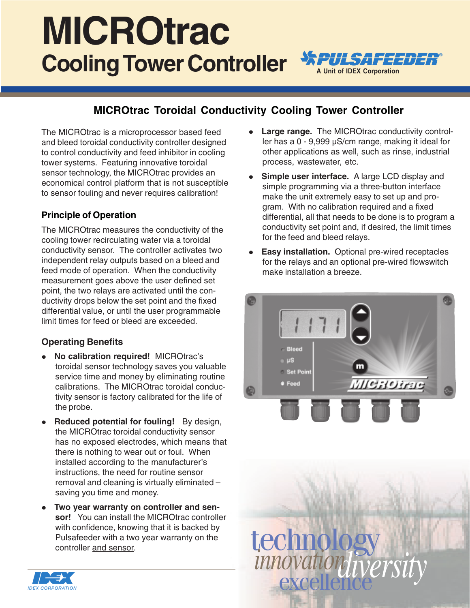# **Cooling Tower Controller APULSAFEEDER MICROtrac**



### **MICROtrac Toroidal Conductivity Cooling Tower Controller**

The MICROtrac is a microprocessor based feed and bleed toroidal conductivity controller designed to control conductivity and feed inhibitor in cooling tower systems. Featuring innovative toroidal sensor technology, the MICROtrac provides an economical control platform that is not susceptible to sensor fouling and never requires calibration!

#### **Principle of Operation**

The MICROtrac measures the conductivity of the cooling tower recirculating water via a toroidal conductivity sensor. The controller activates two independent relay outputs based on a bleed and feed mode of operation. When the conductivity measurement goes above the user defined set point, the two relays are activated until the conductivity drops below the set point and the fixed differential value, or until the user programmable limit times for feed or bleed are exceeded.

#### **Operating Benefits**

- **No calibration required!** MICROtrac's toroidal sensor technology saves you valuable service time and money by eliminating routine calibrations. The MICROtrac toroidal conductivity sensor is factory calibrated for the life of the probe.
- **Reduced potential for fouling!** By design, the MICROtrac toroidal conductivity sensor has no exposed electrodes, which means that there is nothing to wear out or foul. When installed according to the manufacturer's instructions, the need for routine sensor removal and cleaning is virtually eliminated – saving you time and money.
- **Two year warranty on controller and sensor!** You can install the MICROtrac controller with confidence, knowing that it is backed by Pulsafeeder with a two year warranty on the controller and sensor.
- **Large range.** The MICROtrac conductivity controller has a 0 - 9,999 µS/cm range, making it ideal for other applications as well, such as rinse, industrial process, wastewater, etc.
- **Simple user interface.** A large LCD display and simple programming via a three-button interface make the unit extremely easy to set up and program. With no calibration required and a fixed differential, all that needs to be done is to program a conductivity set point and, if desired, the limit times for the feed and bleed relays.
- **Easy installation.** Optional pre-wired receptacles for the relays and an optional pre-wired flowswitch make installation a breeze.



technology<br>*innovationaliversit*